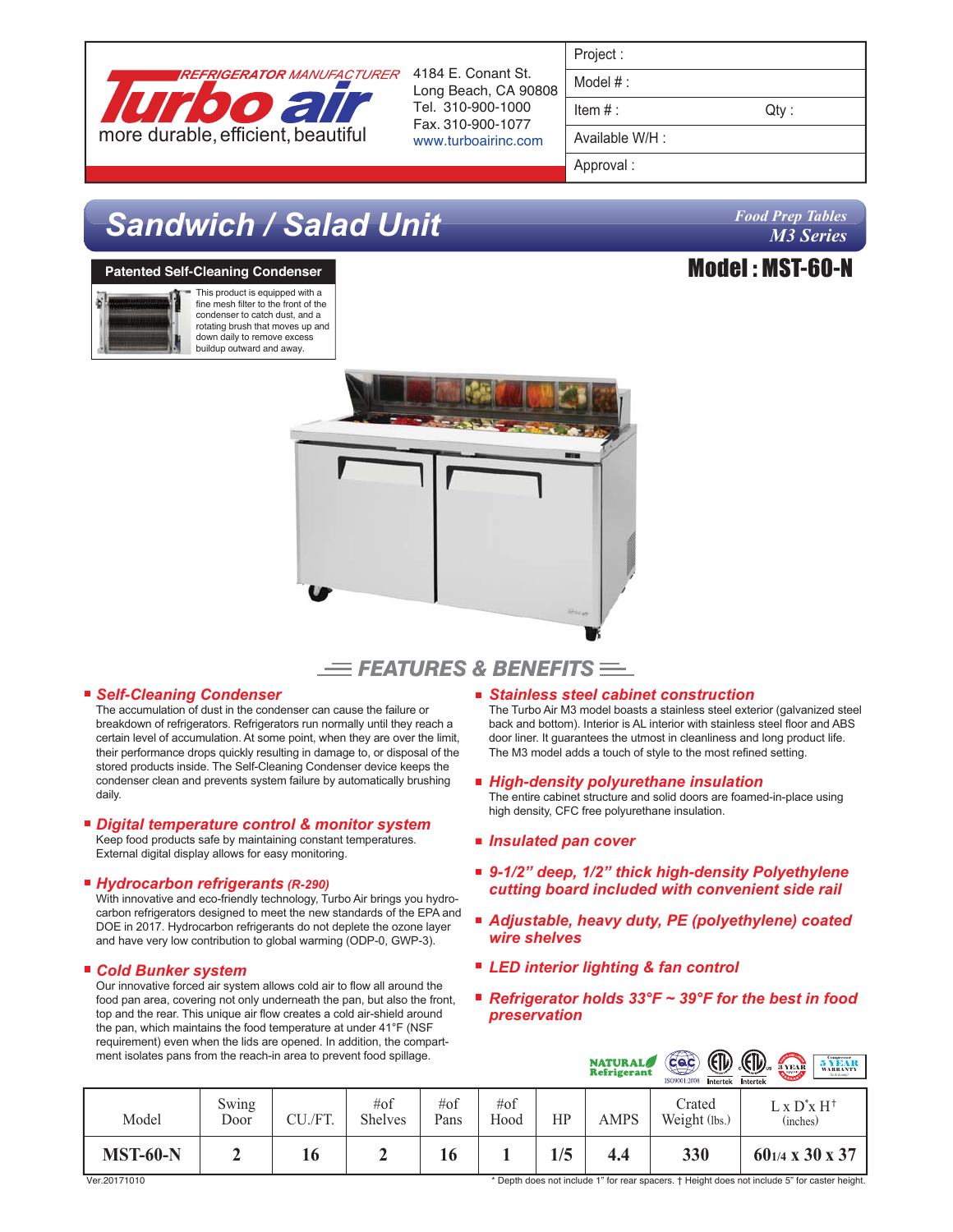

Long Beach, CA 90808 Tel. 310-900-1000 Fax. 310-900-1077 www.turboairinc.com

| Project |  |
|---------|--|
|         |  |

Model # :

 $Item #:$  Qty :

Available W/H :

Approval :

# *Sandwich / Salad Unit*

### **Patented Self-Cleaning Condenser**



This product is equipped with a fine mesh filter to the front of the condenser to catch dust, and a rotating brush that moves up and down daily to remove excess buildup outward and away.

# *Food Prep Tables M3 Series*







#### ■ Self-Cleaning Condenser

The accumulation of dust in the condenser can cause the failure or breakdown of refrigerators. Refrigerators run normally until they reach a certain level of accumulation. At some point, when they are over the limit, their performance drops quickly resulting in damage to, or disposal of the stored products inside. The Self-Cleaning Condenser device keeps the condenser clean and prevents system failure by automatically brushing daily.

#### *Digital temperature control & monitor system*

Keep food products safe by maintaining constant temperatures. External digital display allows for easy monitoring.

#### *Hydrocarbon refrigerants (R-290)*

With innovative and eco-friendly technology, Turbo Air brings you hydrocarbon refrigerators designed to meet the new standards of the EPA and DOE in 2017. Hydrocarbon refrigerants do not deplete the ozone layer and have very low contribution to global warming (ODP-0, GWP-3).

#### *Cold Bunker system*

Our innovative forced air system allows cold air to flow all around the food pan area, covering not only underneath the pan, but also the front, top and the rear. This unique air flow creates a cold air-shield around the pan, which maintains the food temperature at under 41°F (NSF requirement) even when the lids are opened. In addition, the compartment isolates pans from the reach-in area to prevent food spillage.

#### *Stainless steel cabinet construction*

The Turbo Air M3 model boasts a stainless steel exterior (galvanized steel back and bottom). Interior is AL interior with stainless steel floor and ABS door liner. It guarantees the utmost in cleanliness and long product life. The M3 model adds a touch of style to the most refined setting.

*High-density polyurethane insulation*

The entire cabinet structure and solid doors are foamed-in-place using high density, CFC free polyurethane insulation.

- *Insulated pan cover*
- 9-1/2" deep, 1/2" thick high-density Polyethylene *cutting board included with convenient side rail*
- *Adjustable, heavy duty, PE (polyethylene) coated wire shelves*
- *LED interior lighting & fan control*
- *Refrigerator holds 33°F ~ 39°F for the best in food preservation*

| Then isolates pans from the reach-in area to prevent lood spillage.<br>$\overline{\mathsf{c}\mathsf{a}\mathsf{c}}$<br>$\mathcal{L}$<br>$\mathcal{A}(\mathcal{U})$<br>$\sum_{\text{SEAR}}$<br><b>NATURAL</b><br><b>Refrigerant</b><br><b>CARGOLIA</b><br>ISO9001:2008<br>Intertek Intertek |               |         |                           |             |             |     |             | $\underset{\text{WARRANTY}}{\textbf{5}}\underset{\text{WARRANTY}}{\textbf{NEAR}}$ |                                       |
|-------------------------------------------------------------------------------------------------------------------------------------------------------------------------------------------------------------------------------------------------------------------------------------------|---------------|---------|---------------------------|-------------|-------------|-----|-------------|-----------------------------------------------------------------------------------|---------------------------------------|
| Model                                                                                                                                                                                                                                                                                     | Swing<br>Door | CU./FT. | $\#$ of<br><b>Shelves</b> | #of<br>Pans | #of<br>Hood | HP  | <b>AMPS</b> | Crated<br>Weight (lbs.)                                                           | $L \times D^* \times H^+$<br>(inches) |
| <b>MST-60-N</b>                                                                                                                                                                                                                                                                           |               | 16      | ∸                         |             |             | 1/5 | 4.4         | 330                                                                               | $60_{1/4}$ x 30 x 37                  |

\* Depth does not include 1" for rear spacers. † Height does not include 5" for caster height.